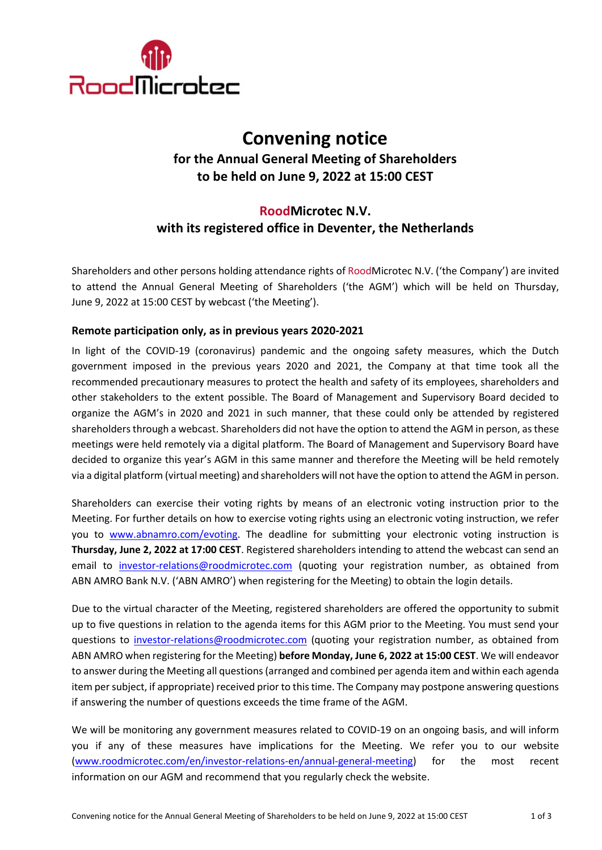

# **Convening notice for the Annual General Meeting of Shareholders to be held on June 9, 2022 at 15:00 CEST**

# **RoodMicrotec N.V. with its registered office in Deventer, the Netherlands**

Shareholders and other persons holding attendance rights of RoodMicrotec N.V. ('the Company') are invited to attend the Annual General Meeting of Shareholders ('the AGM') which will be held on Thursday, June 9, 2022 at 15:00 CEST by webcast ('the Meeting').

## **Remote participation only, as in previous years 2020-2021**

In light of the COVID-19 (coronavirus) pandemic and the ongoing safety measures, which the Dutch government imposed in the previous years 2020 and 2021, the Company at that time took all the recommended precautionary measures to protect the health and safety of its employees, shareholders and other stakeholders to the extent possible. The Board of Management and Supervisory Board decided to organize the AGM's in 2020 and 2021 in such manner, that these could only be attended by registered shareholders through a webcast. Shareholders did not have the option to attend the AGM in person, as these meetings were held remotely via a digital platform. The Board of Management and Supervisory Board have decided to organize this year's AGM in this same manner and therefore the Meeting will be held remotely via a digital platform (virtual meeting) and shareholders will not have the option to attend the AGM in person.

Shareholders can exercise their voting rights by means of an electronic voting instruction prior to the Meeting. For further details on how to exercise voting rights using an electronic voting instruction, we refer you to [www.abnamro.com/evoting.](http://www.abnamro.com/evoting) The deadline for submitting your electronic voting instruction is **Thursday, June 2, 2022 at 17:00 CEST**. Registered shareholders intending to attend the webcast can send an email to [investor-relations@roodmicrotec.com](mailto:investor-relations@roodmicrotec.com) (quoting your registration number, as obtained from ABN AMRO Bank N.V. ('ABN AMRO') when registering for the Meeting) to obtain the login details.

Due to the virtual character of the Meeting, registered shareholders are offered the opportunity to submit up to five questions in relation to the agenda items for this AGM prior to the Meeting. You must send your questions to [investor-relations@roodmicrotec.com](mailto:investor-relations@roodmicrotec.com) (quoting your registration number, as obtained from ABN AMRO when registering for the Meeting) **before Monday, June 6, 2022 at 15:00 CEST**. We will endeavor to answer during the Meeting all questions (arranged and combined per agenda item and within each agenda item per subject, if appropriate) received prior to this time. The Company may postpone answering questions if answering the number of questions exceeds the time frame of the AGM.

We will be monitoring any government measures related to COVID-19 on an ongoing basis, and will inform you if any of these measures have implications for the Meeting. We refer you to our website [\(www.roodmicrotec.com/en/investor-relations-en/annual-general-meeting\)](http://www.roodmicrotec.com/en/investor-relations-en/annual-general-meeting) for the most recent information on our AGM and recommend that you regularly check the website.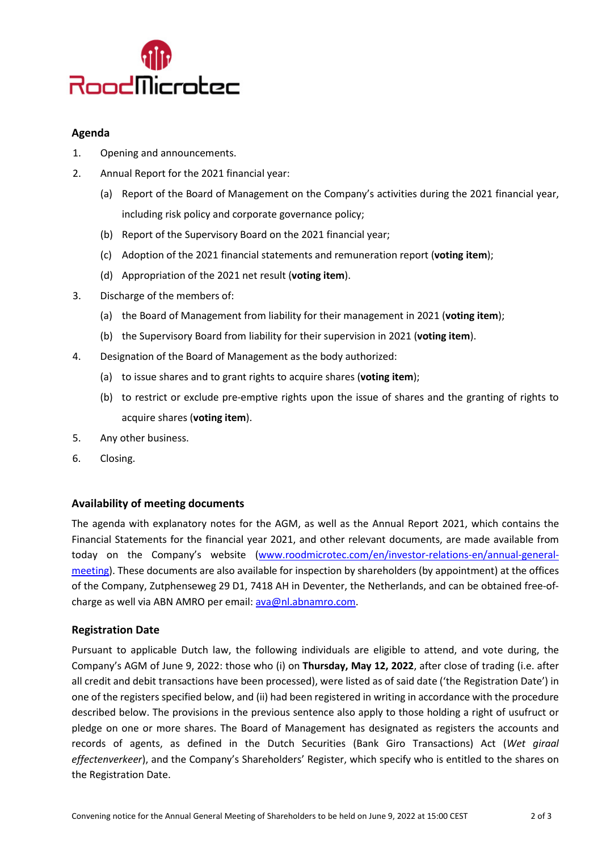

### **Agenda**

- 1. Opening and announcements.
- 2. Annual Report for the 2021 financial year:
	- (a) Report of the Board of Management on the Company's activities during the 2021 financial year, including risk policy and corporate governance policy;
	- (b) Report of the Supervisory Board on the 2021 financial year;
	- (c) Adoption of the 2021 financial statements and remuneration report (**voting item**);
	- (d) Appropriation of the 2021 net result (**voting item**).
- 3. Discharge of the members of:
	- (a) the Board of Management from liability for their management in 2021 (**voting item**);
	- (b) the Supervisory Board from liability for their supervision in 2021 (**voting item**).
- 4. Designation of the Board of Management as the body authorized:
	- (a) to issue shares and to grant rights to acquire shares (**voting item**);
	- (b) to restrict or exclude pre-emptive rights upon the issue of shares and the granting of rights to acquire shares (**voting item**).
- 5. Any other business.
- 6. Closing.

### **Availability of meeting documents**

The agenda with explanatory notes for the AGM, as well as the Annual Report 2021, which contains the Financial Statements for the financial year 2021, and other relevant documents, are made available from today on the Company's website [\(www.roodmicrotec.com/en/investor-relations-en/annual-general](http://www.roodmicrotec.com/en/investor-relations-en/annual-general-meeting)[meeting\)](http://www.roodmicrotec.com/en/investor-relations-en/annual-general-meeting). These documents are also available for inspection by shareholders (by appointment) at the offices of the Company, Zutphenseweg 29 D1, 7418 AH in Deventer, the Netherlands, and can be obtained free-ofcharge as well via ABN AMRO per email: [ava@nl.abnamro.com.](mailto:ava@nl.abnamro.com)

#### **Registration Date**

Pursuant to applicable Dutch law, the following individuals are eligible to attend, and vote during, the Company's AGM of June 9, 2022: those who (i) on **Thursday, May 12, 2022**, after close of trading (i.e. after all credit and debit transactions have been processed), were listed as of said date ('the Registration Date') in one of the registers specified below, and (ii) had been registered in writing in accordance with the procedure described below. The provisions in the previous sentence also apply to those holding a right of usufruct or pledge on one or more shares. The Board of Management has designated as registers the accounts and records of agents, as defined in the Dutch Securities (Bank Giro Transactions) Act (*Wet giraal effectenverkeer*), and the Company's Shareholders' Register, which specify who is entitled to the shares on the Registration Date.